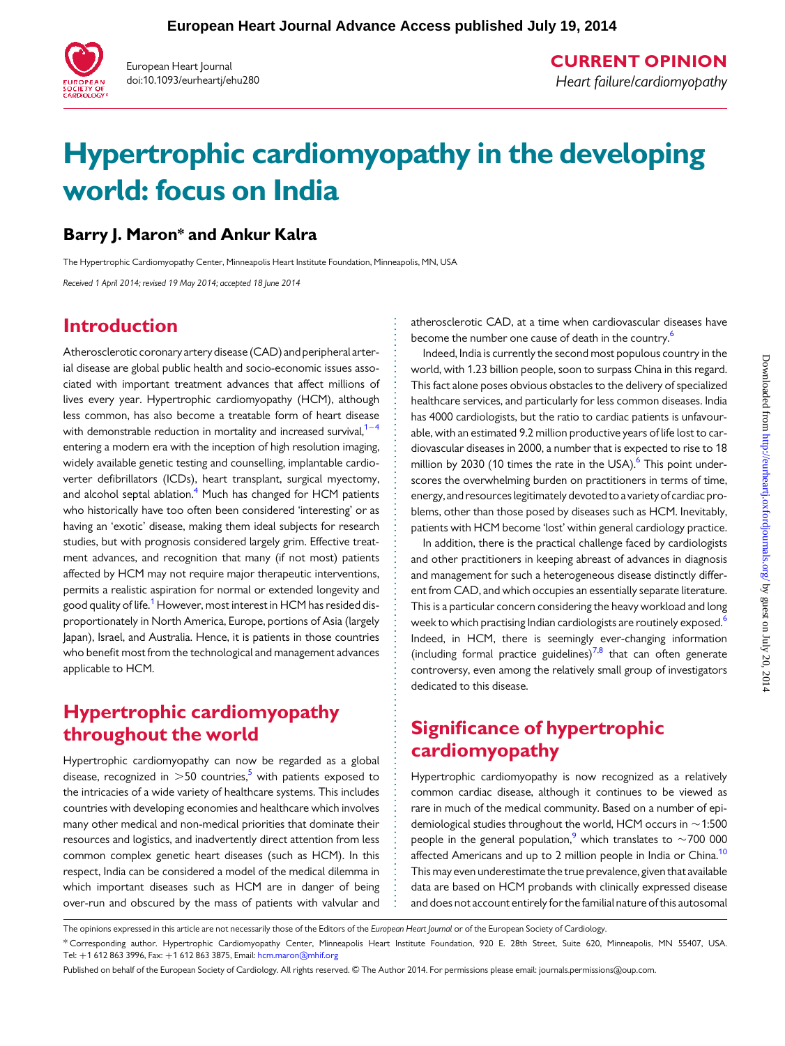

European Heart Journal doi:10.1093/eurheartj/ehu280 CURRENT OPINION Heart failure/cardiomyopathy

# Hypertrophic cardiomyopathy in the developing world: focus on India

#### Barry J. Maron\* and Ankur Kalra

The Hypertrophic Cardiomyopathy Center, Minneapolis Heart Institute Foundation, Minneapolis, MN, USA

Received 1 April 2014; revised 19 May 2014; accepted 18 June 2014

## Introduction

Atherosclerotic coronary artery disease (CAD) and peripheral arterial disease are global public health and socio-economic issues associated with important treatment advances that affect millions of lives every year. Hypertrophic cardiomyopathy (HCM), although less common, has also become a treatable form of heart disease with demonstrable reduction in mortality and increased survival,<sup>1-</sup> entering a modern era with the inception of high resolution imaging, widely available genetic testing and counselling, implantable cardioverter defibrillators (ICDs), heart transplant, surgical myectomy, and alcohol septal ablation. $4$  Much has changed for HCM patients who historically have too often been considered 'interesting' or as having an 'exotic' disease, making them ideal subjects for research studies, but with prognosis considered largely grim. Effective treatment advances, and recognition that many (if not most) patients affected by HCM may not require major therapeutic interventions, permits a realistic aspiration for normal or extended longevity and good quality of life.<sup>[1](#page-3-0)</sup> However, most interest in HCM has resided disproportionately in North America, Europe, portions of Asia (largely Japan), Israel, and Australia. Hence, it is patients in those countries who benefit most from the technological and management advances applicable to HCM.

#### Hypertrophic cardiomyopathy throughout the world

Hypertrophic cardiomyopathy can now be regarded as a global disease, recognized in  $>50$  countries,<sup>5</sup> with patients exposed to the intricacies of a wide variety of healthcare systems. This includes countries with developing economies and healthcare which involves many other medical and non-medical priorities that dominate their resources and logistics, and inadvertently direct attention from less common complex genetic heart diseases (such as HCM). In this respect, India can be considered a model of the medical dilemma in which important diseases such as HCM are in danger of being over-run and obscured by the mass of patients with valvular and

atherosclerotic CAD, at a time when cardiovascular diseases have become the number one cause of death in the country.<sup>6</sup>

Indeed, India is currently the second most populous country in the world, with 1.23 billion people, soon to surpass China in this regard. This fact alone poses obvious obstacles to the delivery of specialized healthcare services, and particularly for less common diseases. India has 4000 cardiologists, but the ratio to cardiac patients is unfavourable, with an estimated 9.2 million productive years of life lost to cardiovascular diseases in 2000, a number that is expected to rise to 18 million by 2030 (10 times the rate in the USA). $6$  This point underscores the overwhelming burden on practitioners in terms of time, energy, and resources legitimately devoted to a variety of cardiac problems, other than those posed by diseases such as HCM. Inevitably, patients with HCM become 'lost' within general cardiology practice.

In addition, there is the practical challenge faced by cardiologists and other practitioners in keeping abreast of advances in diagnosis and management for such a heterogeneous disease distinctly different from CAD, and which occupies an essentially separate literature. This is a particular concern considering the heavy workload and long week to which practising Indian cardiologists are routinely exposed.<sup>[6](#page-4-0)</sup> Indeed, in HCM, there is seemingly ever-changing information (including formal practice guidelines)<sup>[7](#page-4-0),[8](#page-4-0)</sup> that can often generate controversy, even among the relatively small group of investigators dedicated to this disease.

## Significance of hypertrophic cardiomyopathy

Hypertrophic cardiomyopathy is now recognized as a relatively common cardiac disease, although it continues to be viewed as rare in much of the medical community. Based on a number of epidemiological studies throughout the world, HCM occurs in  $\sim$ 1:500 people in the general population,<sup>[9](#page-4-0)</sup> which translates to  $\sim$ 700 000 affected Americans and up to 2 million people in India or China.<sup>10</sup> This may even underestimate the true prevalence, given that available data are based on HCM probands with clinically expressed disease and does not account entirely for the familial nature of this autosomal

The opinions expressed in this article are not necessarily those of the Editors of the European Heart Journal or of the European Society of Cardiology.

<sup>\*</sup> Corresponding author. Hypertrophic Cardiomyopathy Center, Minneapolis Heart Institute Foundation, 920 E. 28th Street, Suite 620, Minneapolis, MN 55407, USA. Tel: +1 612 863 3996, Fax: +1 612 863 3875, Email: [hcm.maron@mhif.org](mailto:hcm.maron@mhif.org)

Published on behalf of the European Society of Cardiology. All rights reserved. © The Author 2014. For permissions please email: journals.permissions@oup.com.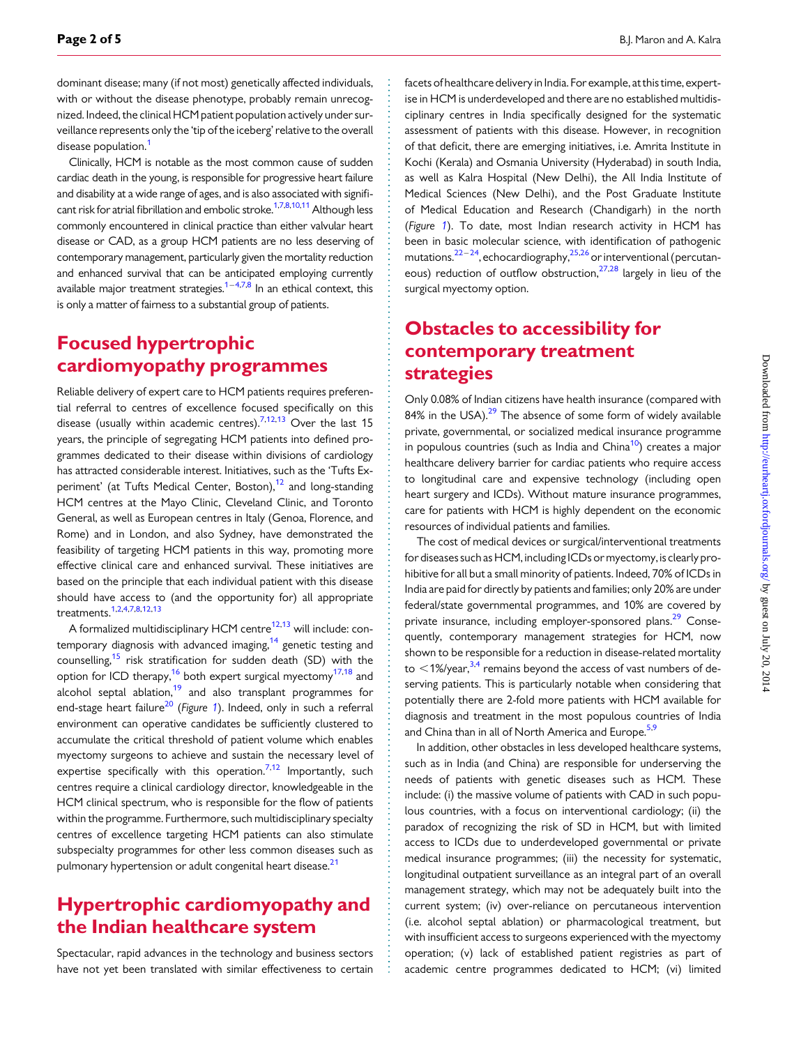dominant disease; many (if not most) genetically affected individuals, with or without the disease phenotype, probably remain unrecognized. Indeed, the clinical HCM patient population actively under surveillance represents only the 'tip of the iceberg' relative to the overall disease population.<sup>[1](#page-3-0)</sup>

Clinically, HCM is notable as the most common cause of sudden cardiac death in the young, is responsible for progressive heart failure and disability at a wide range of ages, and is also associated with signifi-cant risk for atrial fibrillation and embolic stroke.<sup>[1,](#page-3-0)[7](#page-4-0),[8,10](#page-4-0),[11](#page-4-0)</sup> Although less commonly encountered in clinical practice than either valvular heart disease or CAD, as a group HCM patients are no less deserving of contemporary management, particularly given the mortality reduction and enhanced survival that can be anticipated employing currently available major treatment strategies.<sup>1–[4,7,8](#page-4-0)</sup> In an ethical context, this is only a matter of fairness to a substantial group of patients.

### Focused hypertrophic cardiomyopathy programmes

Reliable delivery of expert care to HCM patients requires preferential referral to centres of excellence focused specifically on this disease (usually within academic centres).<sup>7,12,13</sup> Over the last 15 years, the principle of segregating HCM patients into defined programmes dedicated to their disease within divisions of cardiology has attracted considerable interest. Initiatives, such as the 'Tufts Experiment' (at Tufts Medical Center, Boston), $12$  and long-standing HCM centres at the Mayo Clinic, Cleveland Clinic, and Toronto General, as well as European centres in Italy (Genoa, Florence, and Rome) and in London, and also Sydney, have demonstrated the feasibility of targeting HCM patients in this way, promoting more effective clinical care and enhanced survival. These initiatives are based on the principle that each individual patient with this disease should have access to (and the opportunity for) all appropriate treatments[.1,](#page-3-0)[2](#page-4-0),[4,7,8](#page-4-0),[12,13](#page-4-0)

A formalized multidisciplinary HCM centre<sup>[12,13](#page-4-0)</sup> will include: contemporary diagnosis with advanced imaging, $14$  genetic testing and counselling,<sup>[15](#page-4-0)</sup> risk stratification for sudden death (SD) with the option for ICD therapy,[16](#page-4-0) both expert surgical myectomy[17,18](#page-4-0) and alcohol septal ablation, $19$  and also transplant programmes for end-stage heart failure<sup>[20](#page-4-0)</sup> (Figure [1](#page-2-0)). Indeed, only in such a referral environment can operative candidates be sufficiently clustered to accumulate the critical threshold of patient volume which enables myectomy surgeons to achieve and sustain the necessary level of expertise specifically with this operation.<sup>[7,12](#page-4-0)</sup> Importantly, such centres require a clinical cardiology director, knowledgeable in the HCM clinical spectrum, who is responsible for the flow of patients within the programme. Furthermore, such multidisciplinary specialty centres of excellence targeting HCM patients can also stimulate subspecialty programmes for other less common diseases such as pulmonary hypertension or adult congenital heart disease.<sup>21</sup>

#### Hypertrophic cardiomyopathy and the Indian healthcare system

Spectacular, rapid advances in the technology and business sectors have not yet been translated with similar effectiveness to certain

facets of healthcare delivery in India. For example, at this time, expertise in HCM is underdeveloped and there are no established multidisciplinary centres in India specifically designed for the systematic assessment of patients with this disease. However, in recognition of that deficit, there are emerging initiatives, i.e. Amrita Institute in Kochi (Kerala) and Osmania University (Hyderabad) in south India, as well as Kalra Hospital (New Delhi), the All India Institute of Medical Sciences (New Delhi), and the Post Graduate Institute of Medical Education and Research (Chandigarh) in the north (Figure [1](#page-2-0)). To date, most Indian research activity in HCM has been in basic molecular science, with identification of pathogenic mutations.<sup>[22](#page-4-0)-[24](#page-4-0)</sup>, echocardiography,<sup>25,[26](#page-4-0)</sup> or interventional (percutaneous) reduction of outflow obstruction, $27,28$  $27,28$  $27,28$  largely in lieu of the surgical myectomy option.

#### Obstacles to accessibility for contemporary treatment strategies

Only 0.08% of Indian citizens have health insurance (compared with 84% in the USA). $^{29}$  $^{29}$  $^{29}$  The absence of some form of widely available private, governmental, or socialized medical insurance programme in populous countries (such as India and China $10$ ) creates a major healthcare delivery barrier for cardiac patients who require access to longitudinal care and expensive technology (including open heart surgery and ICDs). Without mature insurance programmes, care for patients with HCM is highly dependent on the economic resources of individual patients and families.

The cost of medical devices or surgical/interventional treatments for diseases such as HCM, including ICDs or myectomy, is clearly prohibitive for all but a small minority of patients. Indeed, 70% of ICDs in India are paid for directly by patients and families; only 20% are under federal/state governmental programmes, and 10% are covered by private insurance, including employer-sponsored plans.<sup>[29](#page-4-0)</sup> Consequently, contemporary management strategies for HCM, now shown to be responsible for a reduction in disease-related mortality to  $\leq$ 1%/year,<sup>[3,4](#page-4-0)</sup> remains beyond the access of vast numbers of deserving patients. This is particularly notable when considering that potentially there are 2-fold more patients with HCM available for diagnosis and treatment in the most populous countries of India and China than in all of North America and Europe.<sup>[5,9](#page-4-0)</sup>

In addition, other obstacles in less developed healthcare systems, such as in India (and China) are responsible for underserving the needs of patients with genetic diseases such as HCM. These include: (i) the massive volume of patients with CAD in such populous countries, with a focus on interventional cardiology; (ii) the paradox of recognizing the risk of SD in HCM, but with limited access to ICDs due to underdeveloped governmental or private medical insurance programmes; (iii) the necessity for systematic, longitudinal outpatient surveillance as an integral part of an overall management strategy, which may not be adequately built into the current system; (iv) over-reliance on percutaneous intervention (i.e. alcohol septal ablation) or pharmacological treatment, but with insufficient access to surgeons experienced with the myectomy operation; (v) lack of established patient registries as part of academic centre programmes dedicated to HCM; (vi) limited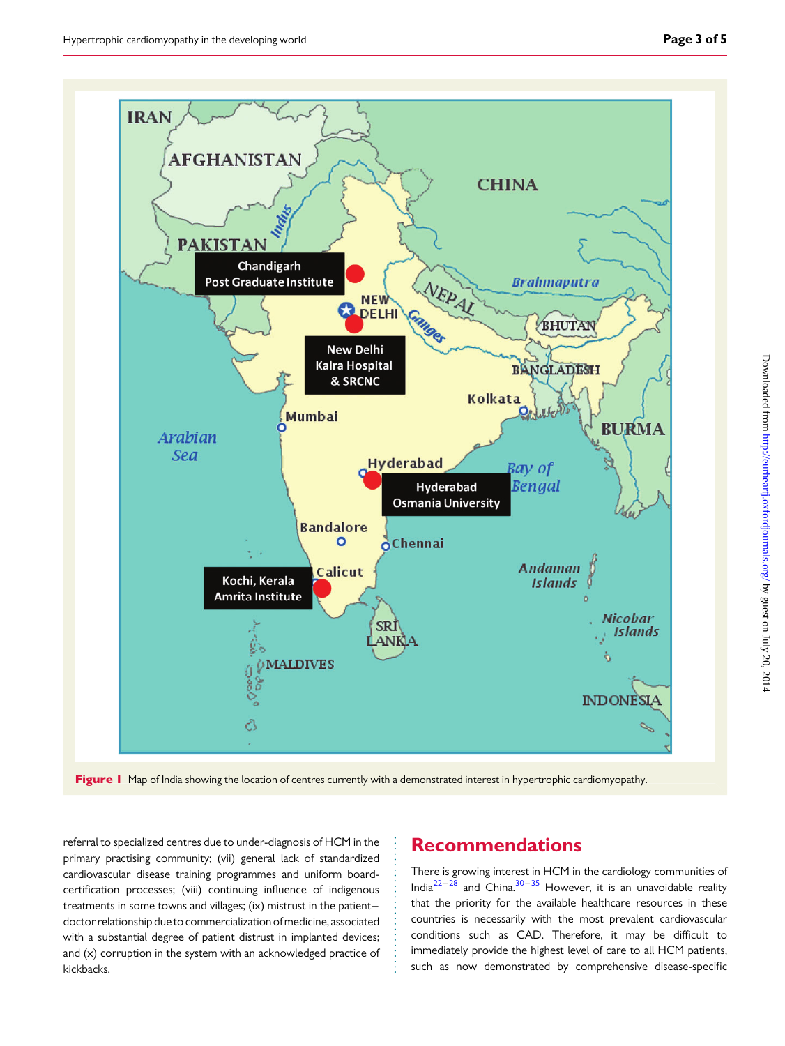<span id="page-2-0"></span>

Figure 1 Map of India showing the location of centres currently with a demonstrated interest in hypertrophic cardiomyopathy.

referral to specialized centres due to under-diagnosis of HCM in the primary practising community; (vii) general lack of standardized cardiovascular disease training programmes and uniform boardcertification processes; (viii) continuing influence of indigenous treatments in some towns and villages; (ix) mistrust in the patient– doctor relationship due to commercialization of medicine, associated with a substantial degree of patient distrust in implanted devices; and (x) corruption in the system with an acknowledged practice of kickbacks.

#### Recommendations

There is growing interest in HCM in the cardiology communities of India<sup>[22](#page-4-0)-[28](#page-4-0)</sup> and China.<sup>[30](#page-4-0)-[35](#page-4-0)</sup> However, it is an unavoidable reality that the priority for the available healthcare resources in these countries is necessarily with the most prevalent cardiovascular conditions such as CAD. Therefore, it may be difficult to immediately provide the highest level of care to all HCM patients, such as now demonstrated by comprehensive disease-specific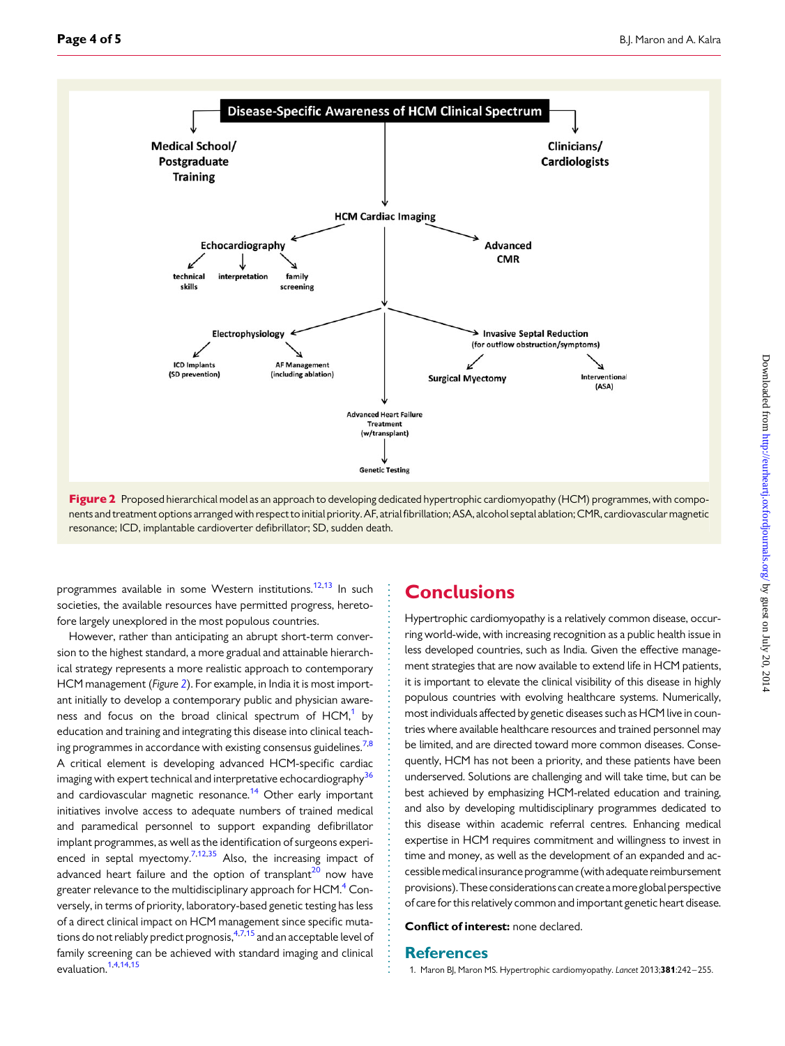<span id="page-3-0"></span>

Figure 2 Proposed hierarchical model as an approach to developing dedicated hypertrophic cardiomyopathy (HCM) programmes, with components and treatmentoptions arranged with respect to initial priority. AF, atrialfibrillation; ASA, alcohol septal ablation; CMR, cardiovascular magnetic resonance; ICD, implantable cardioverter defibrillator; SD, sudden death.

programmes available in some Western institutions.<sup>[12](#page-4-0),[13](#page-4-0)</sup> In such societies, the available resources have permitted progress, heretofore largely unexplored in the most populous countries.

However, rather than anticipating an abrupt short-term conversion to the highest standard, a more gradual and attainable hierarchical strategy represents a more realistic approach to contemporary HCM management (Figure 2). For example, in India it is most important initially to develop a contemporary public and physician awareness and focus on the broad clinical spectrum of  $HCM<sup>1</sup>$  by education and training and integrating this disease into clinical teaching programmes in accordance with existing consensus guidelines.<sup>7,8</sup> A critical element is developing advanced HCM-specific cardiac imaging with expert technical and interpretative echocardiography<sup>36</sup> and cardiovascular magnetic resonance.<sup>[14](#page-4-0)</sup> Other early important initiatives involve access to adequate numbers of trained medical and paramedical personnel to support expanding defibrillator implant programmes, as well as the identification of surgeons experi-enced in septal myectomy.<sup>7,[12,35](#page-4-0)</sup> Also, the increasing impact of advanced heart failure and the option of transplant<sup>[20](#page-4-0)</sup> now have greater relevance to the multidisciplinary approach for HCM.<sup>[4](#page-4-0)</sup> Conversely, in terms of priority, laboratory-based genetic testing has less of a direct clinical impact on HCM management since specific mutations do not reliably predict prognosis,  $47,15$  $47,15$  and an acceptable level of family screening can be achieved with standard imaging and clinical evaluation.1[,4,14,15](#page-4-0)

#### **Conclusions**

Hypertrophic cardiomyopathy is a relatively common disease, occurring world-wide, with increasing recognition as a public health issue in less developed countries, such as India. Given the effective management strategies that are now available to extend life in HCM patients, it is important to elevate the clinical visibility of this disease in highly populous countries with evolving healthcare systems. Numerically, most individuals affected by genetic diseases such as HCM live in countries where available healthcare resources and trained personnel may be limited, and are directed toward more common diseases. Consequently, HCM has not been a priority, and these patients have been underserved. Solutions are challenging and will take time, but can be best achieved by emphasizing HCM-related education and training, and also by developing multidisciplinary programmes dedicated to this disease within academic referral centres. Enhancing medical expertise in HCM requires commitment and willingness to invest in time and money, as well as the development of an expanded and accessiblemedicalinsuranceprogramme(withadequatereimbursement provisions). These considerations can create a more global perspective of care for this relatively common and important genetic heart disease.

Conflict of interest: none declared.

#### **References**

1. Maron BJ, Maron MS. Hypertrophic cardiomyopathy. Lancet 2013;381:242-255.